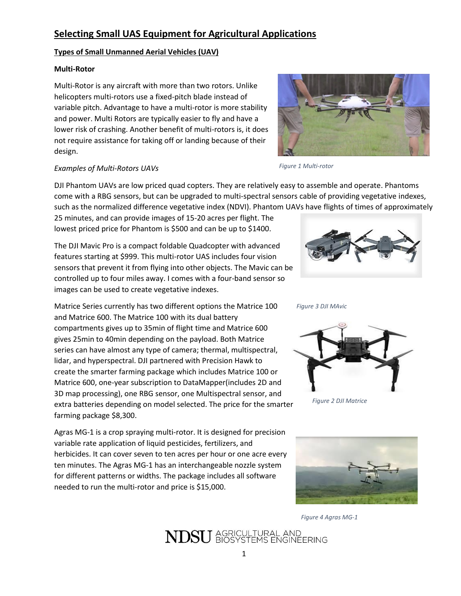### **Selecting Small UAS Equipment for Agricultural Applications**

#### **Types of Small Unmanned Aerial Vehicles (UAV)**

#### **Multi-Rotor**

Multi-Rotor is any aircraft with more than two rotors. Unlike helicopters multi-rotors use a fixed-pitch blade instead of variable pitch. Advantage to have a multi-rotor is more stability and power. Multi Rotors are typically easier to fly and have a lower risk of crashing. Another benefit of multi-rotors is, it does not require assistance for taking off or landing because of their design.



#### *Examples of Multi-Rotors UAVs*

DJI Phantom UAVs are low priced quad copters. They are relatively easy to assemble and operate. Phantoms come with a RBG sensors, but can be upgraded to multi-spectral sensors cable of providing vegetative indexes, such as the normalized difference vegetative index (NDVI). Phantom UAVs have flights of times of approximately

25 minutes, and can provide images of 15-20 acres per flight. The lowest priced price for Phantom is \$500 and can be up to \$1400.

The DJI Mavic Pro is a compact foldable Quadcopter with advanced features starting at \$999. This multi-rotor UAS includes four vision sensors that prevent it from flying into other objects. The Mavic can be controlled up to four miles away. I comes with a four-band sensor so images can be used to create vegetative indexes.

Matrice Series currently has two different options the Matrice 100 and Matrice 600. The Matrice 100 with its dual battery compartments gives up to 35min of flight time and Matrice 600 gives 25min to 40min depending on the payload. Both Matrice series can have almost any type of camera; thermal, multispectral, lidar, and hyperspectral. DJI partnered with Precision Hawk to create the smarter farming package which includes Matrice 100 or Matrice 600, one-year subscription to DataMapper(includes 2D and 3D map processing), one RBG sensor, one Multispectral sensor, and extra batteries depending on model selected. The price for the smarter farming package \$8,300.

Agras MG-1 is a crop spraying multi-rotor. It is designed for precision variable rate application of liquid pesticides, fertilizers, and herbicides. It can cover seven to ten acres per hour or one acre every ten minutes. The Agras MG-1 has an interchangeable nozzle system for different patterns or widths. The package includes all software needed to run the multi-rotor and price is \$15,000.

*Figure 3 DJI MAvic*

*Figure 1 Multi-rotor*



*Figure 2 DJI Matrice*



*Figure 4 Agras MG-1*

NDSU AGRICULTURAL AND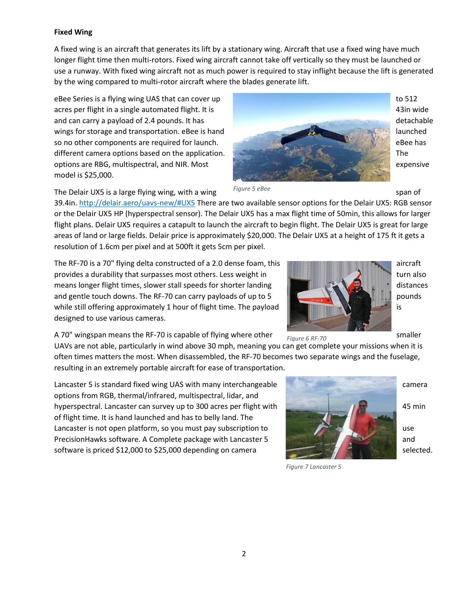#### **Fixed Wing**

A fixed wing is an aircraft that generates its lift by a stationary wing. Aircraft that use a fixed wing have much longer flight time then multi-rotors. Fixed wing aircraft cannot take off vertically so they must be launched or use a runway. With fixed wing aircraft not as much power is required to stay inflight because the lift is generated by the wing compared to multi-rotor aircraft where the blades generate lift.

eBee Series is a flying wing UAS that can cover up to the series of the series of to 512 acres per flight in a single automated flight. It is 43in wide and can carry a payload of 2.4 pounds. It has detachable detachable detachable wings for storage and transportation. eBee is hand launched launched launched so no other components are required for launch. EBEE has a series of the state of the state and the state and the state of the state and the state and the state and the state and the state and the state and the state and t different camera options based on the application. The state of the state of the state of the state of the state of the state of the state of the state of the state of the state of the state of the state of the state of th options are RBG, multispectral, and NIR. Most expensive expensive expensive model is \$25,000.



The Delair UX5 is a large flying wing, with a wing subset of the span of span of *Figure 5 eBee*

39.4in. <http://delair.aero/uavs-new/#UX5> There are two available sensor options for the Delair UX5: RGB sensor or the Delair UX5 HP (hyperspectral sensor). The Delair UX5 has a max flight time of 50min, this allows for larger flight plans. Delair UX5 requires a catapult to launch the aircraft to begin flight. The Delair UX5 is great for large areas of land or large fields. Delair price is approximately \$20,000. The Delair UX5 at a height of 175 ft it gets a resolution of 1.6cm per pixel and at 500ft it gets 5cm per pixel.

The RF-70 is a 70" flying delta constructed of a 2.0 dense foam, this and a set of a set of aircraft provides a durability that surpasses most others. Less weight in turn also turn also turn also means longer flight times, slower stall speeds for shorter landing distances distances distances and gentle touch downs. The RF-70 can carry payloads of up to 5 pounds  $\mathbb{R}$  pounds while still offering approximately 1 hour of flight time. The payload designed to use various cameras.

A 70" wingspan means the RF-70 is capable of flying where other  $\frac{1}{2}$  smaller smaller

UAVs are not able, particularly in wind above 30 mph, meaning you can get complete your missions when it is often times matters the most. When disassembled, the RF-70 becomes two separate wings and the fuselage, resulting in an extremely portable aircraft for ease of transportation.

Lancaster 5 is standard fixed wing UAS with many interchangeable camera camera camera options from RGB, thermal/infrared, multispectral, lidar, and hyperspectral. Lancaster can survey up to 300 acres per flight with  $\sim$  45 min of flight time. It is hand launched and has to belly land. The Lancaster is not open platform, so you must pay subscription to use that the use PrecisionHawks software. A Complete package with Lancaster 5 and software is priced \$12,000 to \$25,000 depending on camera selected.



*Figure 7 Lancaster 5*

*Figure 6 RF-70*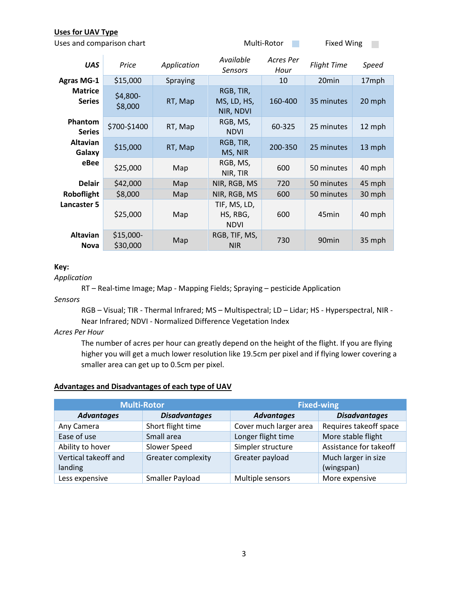#### **Uses for UAV Type**

| Uses and comparison chart       |                        |             | Multi-Rotor                             |                   | <b>Fixed Wing</b>  |              |
|---------------------------------|------------------------|-------------|-----------------------------------------|-------------------|--------------------|--------------|
| <b>UAS</b>                      | Price                  | Application | Available<br><b>Sensors</b>             | Acres Per<br>Hour | <b>Flight Time</b> | <b>Speed</b> |
| <b>Agras MG-1</b>               | \$15,000               | Spraying    |                                         | 10                | 20 <sub>min</sub>  | 17mph        |
| <b>Matrice</b><br><b>Series</b> | $$4,800-$<br>\$8,000   | RT, Map     | RGB, TIR,<br>MS, LD, HS,<br>NIR, NDVI   | 160-400           | 35 minutes         | 20 mph       |
| Phantom<br><b>Series</b>        | \$700-\$1400           | RT, Map     | RGB, MS,<br><b>NDVI</b>                 | 60-325            | 25 minutes         | 12 mph       |
| Altavian<br>Galaxy              | \$15,000               | RT, Map     | RGB, TIR,<br>MS, NIR                    | 200-350           | 25 minutes         | 13 mph       |
| eBee                            | \$25,000               | Map         | RGB, MS,<br>NIR, TIR                    | 600               | 50 minutes         | 40 mph       |
| <b>Delair</b>                   | \$42,000               | Map         | NIR, RGB, MS                            | 720               | 50 minutes         | 45 mph       |
| Roboflight                      | \$8,000                | Map         | NIR, RGB, MS                            | 600               | 50 minutes         | 30 mph       |
| <b>Lancaster 5</b>              | \$25,000               | Map         | TIF, MS, LD,<br>HS, RBG,<br><b>NDVI</b> | 600               | 45 <sub>min</sub>  | 40 mph       |
| Altavian<br><b>Nova</b>         | $$15,000-$<br>\$30,000 | Map         | RGB, TIF, MS,<br><b>NIR</b>             | 730               | 90 <sub>min</sub>  | 35 mph       |

#### **Key:**

#### *Application*

RT – Real-time Image; Map - Mapping Fields; Spraying – pesticide Application

*Sensors*

RGB – Visual; TIR - Thermal Infrared; MS – Multispectral; LD – Lidar; HS - Hyperspectral, NIR - Near Infrared; NDVI - Normalized Difference Vegetation Index

*Acres Per Hour*

The number of acres per hour can greatly depend on the height of the flight. If you are flying higher you will get a much lower resolution like 19.5cm per pixel and if flying lower covering a smaller area can get up to 0.5cm per pixel.

#### **Advantages and Disadvantages of each type of UAV**

|                                 | <b>Multi-Rotor</b>     | <b>Fixed-wing</b>      |                                   |  |
|---------------------------------|------------------------|------------------------|-----------------------------------|--|
| <b>Advantages</b>               | <b>Disadvantages</b>   | <b>Advantages</b>      | <b>Disadvantages</b>              |  |
| Any Camera                      | Short flight time      | Cover much larger area | Requires takeoff space            |  |
| Ease of use                     | Small area             | Longer flight time     | More stable flight                |  |
| Ability to hover                | Slower Speed           | Simpler structure      | Assistance for takeoff            |  |
| Vertical takeoff and<br>landing | Greater complexity     | Greater payload        | Much larger in size<br>(wingspan) |  |
| Less expensive                  | <b>Smaller Payload</b> | Multiple sensors       | More expensive                    |  |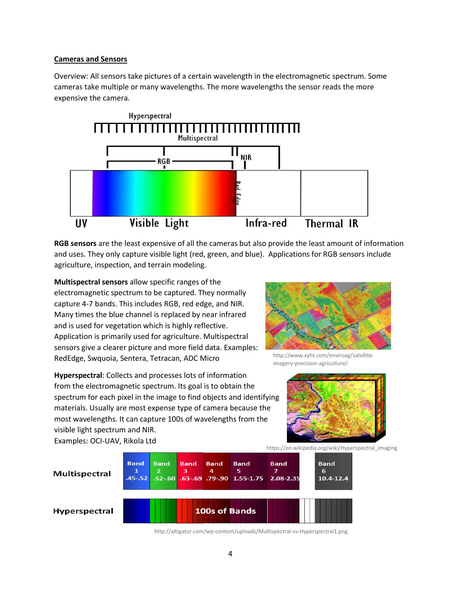#### **Cameras and Sensors**

Overview: All sensors take pictures of a certain wavelength in the electromagnetic spectrum. Some cameras take multiple or many wavelengths. The more wavelengths the sensor reads the more expensive the camera.



**RGB sensors** are the least expensive of all the cameras but also provide the least amount of information and uses. They only capture visible light (red, green, and blue). Applications for RGB sensors include agriculture, inspection, and terrain modeling.

**Multispectral sensors** allow specific ranges of the electromagnetic spectrum to be captured. They normally capture 4-7 bands. This includes RGB, red edge, and NIR. Many times the blue channel is replaced by near infrared and is used for vegetation which is highly reflective. Application is primarily used for agriculture. Multispectral sensors give a clearer picture and more field data. Examples: RedEdge, Swquoia, Sentera, Tetracan, ADC Micro



Examples: OCI-UAV, Rikola Ltd



http://www.xyht.com/enviroag/satelliteimagery-precision-agriculture/

https://en.wikipedia.org/wiki/Hyperspectral\_imaging



http://altigator.com/wp-content/uploads/Multispectral-vs-Hyperspectral1.png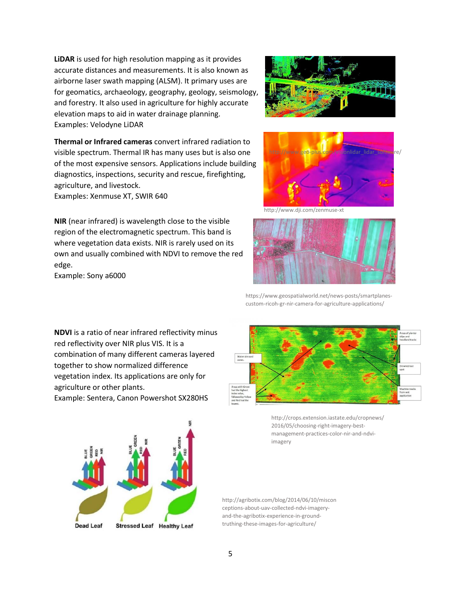**LiDAR** is used for high resolution mapping as it provides accurate distances and measurements. It is also known as airborne laser swath mapping (ALSM). It primary uses are for geomatics, archaeology, geography, geology, seismology, and forestry. It also used in agriculture for highly accurate elevation maps to aid in water drainage planning. Examples: Velodyne LiDAR



**Thermal or Infrared cameras** convert infrared radiation to visible spectrum. Thermal IR has many uses but is also one of the most expensive sensors. Applications include building diagnostics, inspections, security and rescue, firefighting, agriculture, and livestock. Examples: Xenmuse XT, SWIR 640

**NIR** (near infrared) is wavelength close to the visible region of the electromagnetic spectrum. This band is where vegetation data exists. NIR is rarely used on its own and usually combined with NDVI to remove the red edge.

Example: Sony a6000

**NDVI** is a ratio of near infrared reflectivity minus red reflectivity over NIR plus VIS. It is a combination of many different cameras layered together to show normalized difference vegetation index. Its applications are only for agriculture or other plants.

Example: Sentera, Canon Powershot SX280HS



http://www.dji.com/zenmuse-xt



https://www.geospatialworld.net/news-posts/smartplanescustom-ricoh-gr-nir-camera-for-agriculture-applications/



http://crops.extension.iastate.edu/cropnews/ 2016/05/choosing-right-imagery-bestmanagement-practices-color-nir-and-ndviimagery